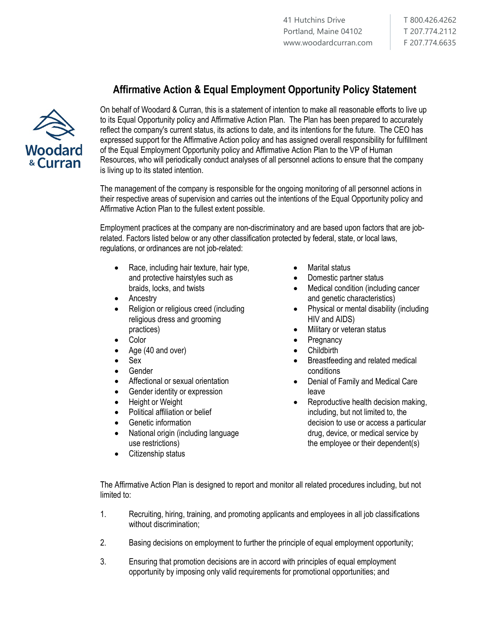T 800.426.4262 T 207.774.2112 F 207.774.6635

## **Affirmative Action & Equal Employment Opportunity Policy Statement**



On behalf of Woodard & Curran, this is a statement of intention to make all reasonable efforts to live up to its Equal Opportunity policy and Affirmative Action Plan. The Plan has been prepared to accurately reflect the company's current status, its actions to date, and its intentions for the future. The CEO has expressed support for the Affirmative Action policy and has assigned overall responsibility for fulfillment of the Equal Employment Opportunity policy and Affirmative Action Plan to the VP of Human Resources, who will periodically conduct analyses of all personnel actions to ensure that the company is living up to its stated intention.

The management of the company is responsible for the ongoing monitoring of all personnel actions in their respective areas of supervision and carries out the intentions of the Equal Opportunity policy and Affirmative Action Plan to the fullest extent possible.

Employment practices at the company are non-discriminatory and are based upon factors that are jobrelated. Factors listed below or any other classification protected by federal, state, or local laws, regulations, or ordinances are not job-related:

- Race, including hair texture, hair type, and protective hairstyles such as braids, locks, and twists
- **Ancestry**
- Religion or religious creed (including religious dress and grooming practices)
- Color
- Age (40 and over)
- Sex
- Gender
- Affectional or sexual orientation
- Gender identity or expression
- Height or Weight
- Political affiliation or belief
- Genetic information
- National origin (including language use restrictions)
- Citizenship status
- Marital status
- Domestic partner status
- Medical condition (including cancer and genetic characteristics)
- Physical or mental disability (including HIV and AIDS)
- Military or veteran status
- Pregnancy
- **Childbirth**
- Breastfeeding and related medical conditions
- Denial of Family and Medical Care leave
- Reproductive health decision making, including, but not limited to, the decision to use or access a particular drug, device, or medical service by the employee or their dependent(s)

The Affirmative Action Plan is designed to report and monitor all related procedures including, but not limited to:

- 1. Recruiting, hiring, training, and promoting applicants and employees in all job classifications without discrimination;
- 2. Basing decisions on employment to further the principle of equal employment opportunity;
- 3. Ensuring that promotion decisions are in accord with principles of equal employment opportunity by imposing only valid requirements for promotional opportunities; and